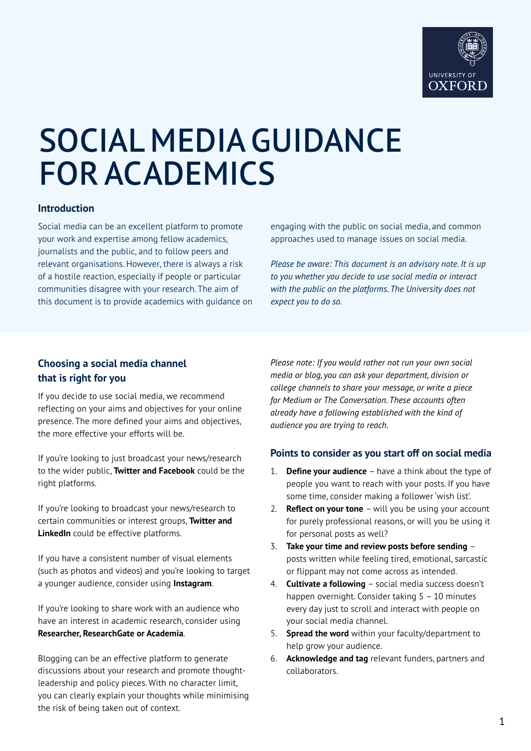

# SOCIAL MEDIA GUIDANCE FOR ACADEMICS

## **Introduction**

Social media can be an excellent platform to promote your work and expertise among fellow academics, journalists and the public, and to follow peers and relevant organisations. However, there is always a risk of a hostile reaction, especially if people or particular communities disagree with your research. The aim of this document is to provide academics with guidance on engaging with the public on social media, and common approaches used to manage issues on social media.

*Please be aware: This document is an advisory note. It is up to you whether you decide to use social media or interact with the public on the platforms. The University does not expect you to do so.* 

## **Choosing a social media channel that is right for you**

If you decide to use social media, we recommend reflecting on your aims and objectives for your online presence. The more defined your aims and objectives, the more effective your efforts will be.

If you're looking to just broadcast your news/research to the wider public, **Twitter and Facebook** could be the right platforms.

If you're looking to broadcast your news/research to certain communities or interest groups, **Twitter and LinkedIn** could be effective platforms.

If you have a consistent number of visual elements (such as photos and videos) and you're looking to target a younger audience, consider using **Instagram**.

If you're looking to share work with an audience who have an interest in academic research, consider using **Researcher, ResearchGate or Academia**.

Blogging can be an effective platform to generate discussions about your research and promote thoughtleadership and policy pieces. With no character limit, you can clearly explain your thoughts while minimising the risk of being taken out of context.

*Please note: If you would rather not run your own social media or blog, you can ask your department, division or college channels to share your message, or write a piece for Medium or The Conversation. These accounts often already have a following established with the kind of audience you are trying to reach.*

#### **Points to consider as you start off on social media**

- 1. **Define your audience** have a think about the type of people you want to reach with your posts. If you have some time, consider making a follower 'wish list'.
- 2. **Reflect on your tone** will you be using your account for purely professional reasons, or will you be using it for personal posts as well?
- 3. **Take your time and review posts before sending** posts written while feeling tired, emotional, sarcastic or flippant may not come across as intended.
- 4. **Cultivate a following** social media success doesn't happen overnight. Consider taking 5 - 10 minutes every day just to scroll and interact with people on your social media channel.
- 5. **Spread the word** within your faculty/department to help grow your audience.
- 6. **Acknowledge and tag** relevant funders, partners and collaborators.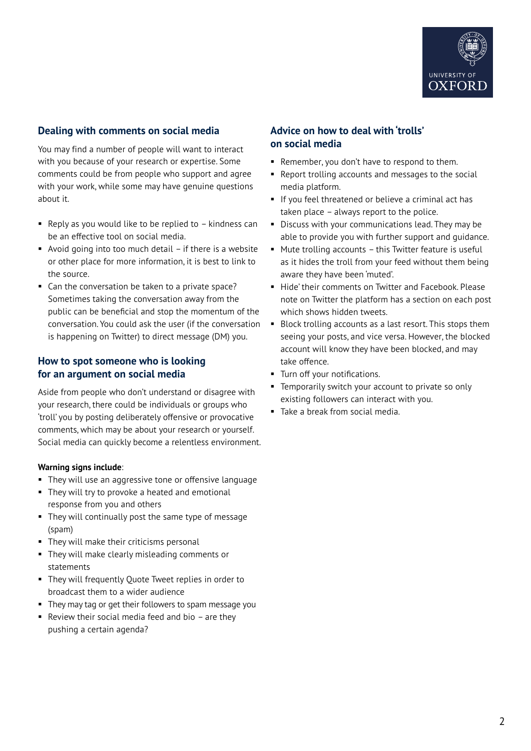

## **Dealing with comments on social media**

You may find a number of people will want to interact with you because of your research or expertise. Some comments could be from people who support and agree with your work, while some may have genuine questions about it.

- Reply as you would like to be replied to  $-$  kindness can be an effective tool on social media.
- Avoid going into too much detail  $-$  if there is a website or other place for more information, it is best to link to the source.
- Can the conversation be taken to a private space? Sometimes taking the conversation away from the public can be beneficial and stop the momentum of the conversation. You could ask the user (if the conversation is happening on Twitter) to direct message (DM) you.

## **How to spot someone who is looking for an argument on social media**

Aside from people who don't understand or disagree with your research, there could be individuals or groups who 'troll' you by posting deliberately offensive or provocative comments, which may be about your research or yourself. Social media can quickly become a relentless environment.

#### **Warning signs include**:

- **They will use an aggressive tone or offensive language**
- They will try to provoke a heated and emotional response from you and others
- They will continually post the same type of message (spam)
- They will make their criticisms personal
- **They will make clearly misleading comments or** statements
- They will frequently Quote Tweet replies in order to broadcast them to a wider audience
- **They may tag or get their followers to spam message you**
- Review their social media feed and bio  $-$  are they pushing a certain agenda?

## **Advice on how to deal with 'trolls' on social media**

- Remember, you don't have to respond to them.
- **Report trolling accounts and messages to the social** media platform.
- If you feel threatened or believe a criminal act has taken place – always report to the police.
- Discuss with your communications lead. They may be able to provide you with further support and guidance.
- Mute trolling accounts this Twitter feature is useful as it hides the troll from your feed without them being aware they have been 'muted'.
- Hide' their comments on Twitter and Facebook. Please note on Twitter the platform has a section on each post which shows hidden tweets.
- Block trolling accounts as a last resort. This stops them seeing your posts, and vice versa. However, the blocked account will know they have been blocked, and may take offence.
- **Turn off your notifications.**
- **Temporarily switch your account to private so only** existing followers can interact with you.
- Take a break from social media.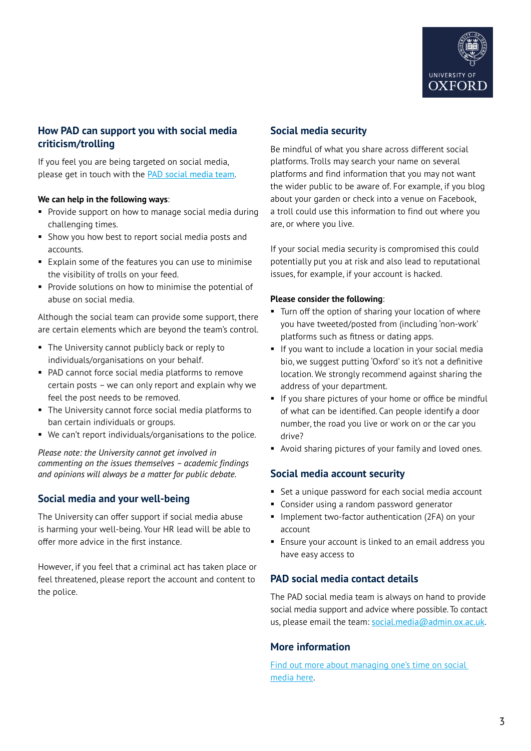

## **How PAD can support you with social media criticism/trolling**

If you feel you are being targeted on social media, please get in touch with the [PAD social media team](mailto:social.media%40admin.ox.ac.uk?subject=).

#### **We can help in the following ways**:

- **Provide support on how to manage social media during** challenging times.
- Show you how best to report social media posts and accounts.
- **Explain some of the features you can use to minimise** the visibility of trolls on your feed.
- **Provide solutions on how to minimise the potential of** abuse on social media.

Although the social team can provide some support, there are certain elements which are beyond the team's control.

- The University cannot publicly back or reply to individuals/organisations on your behalf.
- PAD cannot force social media platforms to remove certain posts – we can only report and explain why we feel the post needs to be removed.
- The University cannot force social media platforms to ban certain individuals or groups.
- We can't report individuals/organisations to the police.

*Please note: the University cannot get involved in commenting on the issues themselves – academic findings and opinions will always be a matter for public debate.* 

## **Social media and your well-being**

The University can offer support if social media abuse is harming your well-being. Your HR lead will be able to offer more advice in the first instance.

However, if you feel that a criminal act has taken place or feel threatened, please report the account and content to the police.

#### **Social media security**

Be mindful of what you share across different social platforms. Trolls may search your name on several platforms and find information that you may not want the wider public to be aware of. For example, if you blog about your garden or check into a venue on Facebook, a troll could use this information to find out where you are, or where you live.

If your social media security is compromised this could potentially put you at risk and also lead to reputational issues, for example, if your account is hacked.

#### **Please consider the following**:

- **Turn off the option of sharing your location of where** you have tweeted/posted from (including 'non-work' platforms such as fitness or dating apps.
- If you want to include a location in your social media bio, we suggest putting 'Oxford' so it's not a definitive location. We strongly recommend against sharing the address of your department.
- If you share pictures of your home or office be mindful of what can be identified. Can people identify a door number, the road you live or work on or the car you drive?
- Avoid sharing pictures of your family and loved ones.

#### **Social media account security**

- Set a unique password for each social media account
- **Consider using a random password generator**
- **Implement two-factor authentication (2FA) on your** account
- Ensure your account is linked to an email address you have easy access to

## **PAD social media contact details**

The PAD social media team is always on hand to provide social media support and advice where possible. To contact us, please email the team: [social.media@admin.ox.ac.uk](mailto:social.media%40admin.ox.ac.uk?subject=).

## **More information**

Find out more about managing one's time on social [media here](https://insidesocialmedia.com/2021/04/27/social-media-productivity-tips-infographic/).